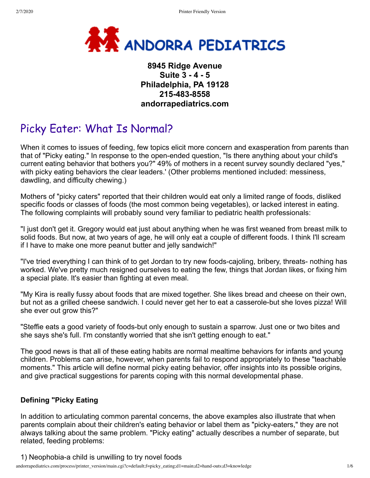

# **8945 Ridge Avenue Suite 3 - 4 - 5 Philadelphia, PA 19128 215-483-8558 andorrapediatrics.com**

# Picky Eater: What Is Normal?

When it comes to issues of feeding, few topics elicit more concern and exasperation from parents than that of "Picky eating." In response to the open-ended question, "Is there anything about your child's current eating behavior that bothers you?" 49% of mothers in a recent survey soundly declared "yes," with picky eating behaviors the clear leaders.' (Other problems mentioned included: messiness, dawdling, and difficulty chewing.)

Mothers of "picky caters" reported that their children would eat only a limited range of foods, disliked specific foods or classes of foods (the most common being vegetables), or lacked interest in eating. The following complaints will probably sound very familiar to pediatric health professionals:

"I just don't get it. Gregory would eat just about anything when he was first weaned from breast milk to solid foods. But now, at two years of age, he will only eat a couple of different foods. I think I'll scream if I have to make one more peanut butter and jelly sandwich!"

"I've tried everything I can think of to get Jordan to try new foods-cajoling, bribery, threats- nothing has worked. We've pretty much resigned ourselves to eating the few, things that Jordan likes, or fixing him a special plate. It's easier than fighting at even meal.

"My Kira is really fussy about foods that are mixed together. She likes bread and cheese on their own, but not as a grilled cheese sandwich. I could never get her to eat a casserole-but she loves pizza! Will she ever out grow this?"

"Steffie eats a good variety of foods-but only enough to sustain a sparrow. Just one or two bites and she says she's full. I'm constantly worried that she isn't getting enough to eat."

The good news is that all of these eating habits are normal mealtime behaviors for infants and young children. Problems can arise, however, when parents fail to respond appropriately to these "teachable moments." This article will define normal picky eating behavior, offer insights into its possible origins, and give practical suggestions for parents coping with this normal developmental phase.

# **Defining "Picky Eating**

In addition to articulating common parental concerns, the above examples also illustrate that when parents complain about their children's eating behavior or label them as "picky-eaters," they are not always talking about the same problem. "Picky eating" actually describes a number of separate, but related, feeding problems:

1) Neophobia-a child is unwilling to try novel foods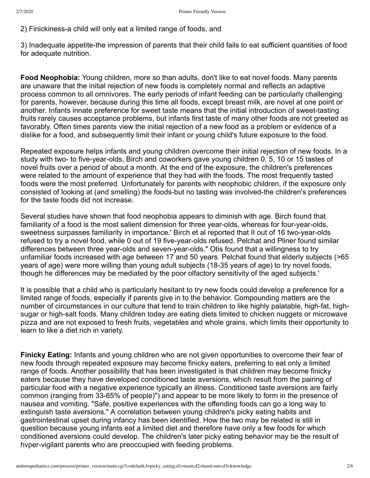2) Finickiness-a child will only eat a limited range of foods, and

3) Inadequate appetite-the impression of parents that their child fails to eat sufficient quantities of food for adequate nutrition.

**Food Neophobia:** Young children, more so than adults, don't like to eat novel foods. Many parents are unaware that the initial rejection of new foods is completely normal and reflects an adaptive process common to all ornnivores. The early periods of infant feeding can be particularly challenging for parents, however, because during this time all foods, except breast milk, are novel at one point or another. Infants innate preference for sweet taste means that the initial introduction of sweet-tasting fruits rarely causes acceptance problems, but infants first taste of many other foods are not greeted as favorably. Often times parents view the initial rejection of a new food as a problem or evidence of a dislike for a food, and subsequently limit their infant or young child's future exposure to the food.

Repeated exposure helps infants and young children overcome their initial rejection of new foods. In a study with two- to five-year-olds, Birch and coworkers gave young children 0, 5, 10 or 15 tastes of novel fruits over a period of about a month. At the end of the exposure, the children's preferences were related to the amount of experience that they had with the foods. The most frequently tasted foods were the most preferred. Unfortunately for parents with neophobic children, if the exposure only consisted of looking at (and smelling) the foods-but no tasting was involved-the children's preferences for the taste foods did not increase.

Several studies have shown that food neophobia appears to diminish with age. Birch found that familiarity of a food is the most salient dimension for three year-olds, whereas for four-year-olds, sweetness surpasses familiarity in importance.' Birch et al reported that II out of 16 two-year-olds refused to try a novel food, while 0 out of 19 five-year-olds refused. Pelchat and Pliner found similar differences between three year-olds and seven-year-olds." Otis found that a willingness to try unfamiliar foods increased with age between 17 and 50 years. Pelchat found that elderly subjects (>65 years of age) were more willing than young adult subjects (18-35 years of age) to try novel foods, though he differences may be mediated by the poor olfactory sensitivity of the aged subjects.'

It is possible that a child who is particularly hesitant to try new foods could develop a preference for a limited range of foods, especially if parents give in to the behavior. Compounding matters are the number of circumstances in our culture that tend to train children to like highly palatable, high-fat, highsugar or high-salt foods. Many children today are eating diets limited to chicken nuggets or microwave pizza and are not exposed to fresh fruits, vegetables and whole grains, which limits their opportunity to learn to like a diet rich in variety.

**Finicky Eating:** Infants and young children who are not given opportunities to overcome their fear of new foods through repeated exposure may become finicky eaters, preferring to eat only a limited range of foods. Another possibility that has been investigated is that children may become finicky eaters because they have developed conditioned taste aversions, which result from the pairing of particular food with a negative experience typically an illness. Conditioned taste aversions are fairly common (ranging from 33-65% of people)") and appear to be more likely to form in the presence of nausea and vomiting. "Safe, positive experiences with the offending foods can go a long way to extinguish taste aversions." A correlation between young children's picky eating habits and gastrointestinal upset during infancy has been identified. How the two may be related is still in question because young infants eat a limited diet and therefore have only a few foods for which conditioned aversions could develop. The children's later picky eating behavior may be the result of hvper-vigilant parents who are preoccupied with feeding problems.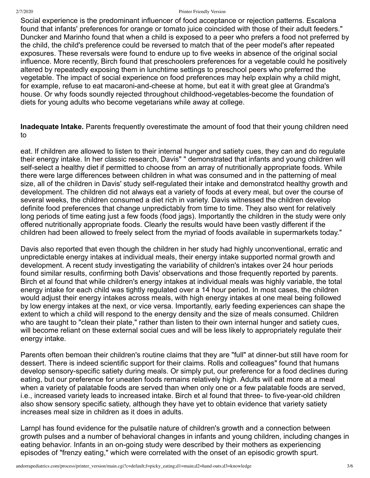#### 2/7/2020 Printer Friendly Version

Social experience is the predominant influencer of food acceptance or rejection patterns. Escalona found that infants' preferences for orange or tomato juice coincided with those of their adult feeders." Duncker and Marinho found that when a child is exposed to a peer who prefers a food not preferred by the child, the child's preference could be reversed to match that of the peer model's after repeated exposures. These reversals were found to endure up to five weeks in absence of the original social influence. More recently, Birch found that preschoolers preferences for a vegetable could he positively altered by repeatedly exposing them in lunchtime settings to preschool peers who preferred the vegetable. The impact of social experience on food preferences may help explain why a child might, for example, refuse to eat macaroni-and-cheese at home, but eat it with great glee at Grandma's house. Or why foods soundly rejected throughout childhood-vegetables-become the foundation of diets for young adults who become vegetarians while away at college.

**Inadequate Intake.** Parents frequently overestimate the amount of food that their young children need to

eat. If children are allowed to listen to their internal hunger and satiety cues, they can and do regulate their energy intake. In her classic research, Davis" " demonstrated that infants and young children will self-select a healthy diet if permitted to choose from an array of nutritionally appropriate foods. While there were large differences between children in what was consumed and in the patterning of meal size, all of the children in Davis' study self-regulated their intake and demonstratcd healthy growth and development. The children did not always eat a variety of foods at every meal, but over the course of several weeks, the children consumed a diet rich in variety. Davis witnessed the children develop definite food preferences that change unpredictably from time to time. They also went for relatively long periods of time eating just a few foods (food jags). Importantly the children in the study were only offered nutritionally appropriate foods. Clearly the results would have been vastly different if the children had been allowed to freely select from the myriad of foods available in supermarkets today."

Davis also reported that even though the children in her study had highly unconventional, erratic and unpredictable energy intakes at individual meals, their energy intake supported normal growth and development. A recent study investigating the variability of children's intakes over 24 hour periods found similar results, confirming both Davis' observations and those frequently reported by parents. Birch et al found that while children's energy intakes at individual meals was highly variable, the total energy intake for each child was tightly regulated over a 14 hour period. In most cases, the children would adjust their energy intakes across meals, with high energy intakes at one meal being followed by low energy intakes at the next, or vice versa. Importantly, early feeding experiences can shape the extent to which a child will respond to the energy density and the size of meals consumed. Children who are taught to "clean their plate," rather than listen to their own internal hunger and satiety cues, will become reliant on these external social cues and will be less likely to appropriately regulate their energy intake.

Parents often bemoan their children's routine claims that they are "full" at dinner-but still have room for dessert. There is indeed scientific support for their claims. Rolls and colleagues" found that humans develop sensory-specific satiety during meals. Or simply put, our preference for a food declines during eating, but our preference for uneaten foods remains relatively high. Adults will eat more at a meal when a variety of palatable foods are served than when only one or a few palatable foods are served, i.e., increased variety leads to increased intake. Birch et al found that three- to five-year-old children also show sensory specific satiety, although they have yet to obtain evidence that variety satiety increases meal size in children as it does in adults.

Larnpl has found evidence for the pulsatile nature of children's growth and a connection between growth pulses and a number of behavioral changes in infants and young children, including changes in eating behavior. Infants in an on-going study were described by their mothers as experiencing episodes of "frenzy eating," which were correlated with the onset of an episodic growth spurt.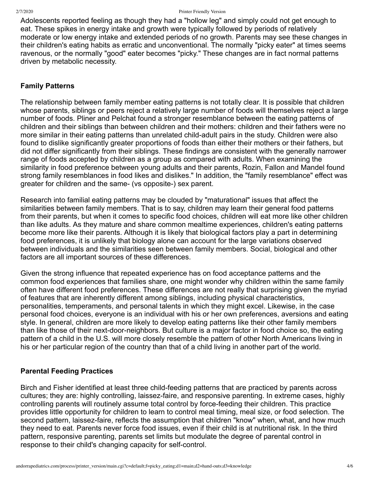Adolescents reported feeling as though they had a "hollow leg" and simply could not get enough to eat. These spikes in energy intake and growth were typically followed by periods of relatively moderate or low energy intake and extended periods of no growth. Parents may see these changes in their children's eating habits as erratic and unconventional. The normally "picky eater" at times seems ravenous, or the normally "good" eater becomes "picky." These changes are in fact normal patterns driven by metabolic necessity.

## **Family Patterns**

The relationship between family member eating patterns is not totally clear. It is possible that children whose parents, siblings or peers reject a relatively large number of foods will themselves reject a large number of foods. Pliner and Pelchat found a stronger resemblance between the eating patterns of children and their siblings than between children and their mothers: children and their fathers were no more similar in their eating patterns than unrelated child-adult pairs in the study. Children were also found to dislike significantly greater proportions of foods than either their mothers or their fathers, but did not differ significantly from their siblings. These findings are consistent with the generally narrower range of foods accepted by children as a group as compared with adults. When examining the similarity in food preference between young adults and their parents, Rozin, Fallon and Mandel found strong family resemblances in food likes and dislikes." In addition, the "family resemblance" effect was greater for children and the same- (vs opposite-) sex parent.

Research into familial eating patterns may be clouded by "maturational" issues that affect the similarities between family members. That is to say, children may learn their general food patterns from their parents, but when it comes to specific food choices, children will eat more like other children than like adults. As they mature and share common mealtime experiences, children's eating patterns become more like their parents. Although it is likely that biological factors play a part in determining food preferences, it is unlikely that biology alone can account for the large variations observed between individuals and the similarities seen between family members. Social, biological and other factors are all important sources of these differences.

Given the strong influence that repeated experience has on food acceptance patterns and the common food experiences that families share, one might wonder why children within the same family often have different food preferences. These differences are not really that surprising given the myriad of features that are inherently different among siblings, including physical characteristics, personalities, temperaments, and personal talents in which they might excel. Likewise, in the case personal food choices, everyone is an individual with his or her own preferences, aversions and eating style. In general, children are more likely to develop eating patterns like their other family members than like those of their next-door-neighbors. But culture is a major factor in food choice so, the eating pattern of a child in the U.S. will more closely resemble the pattern of other North Americans living in his or her particular region of the country than that of a child living in another part of the world.

### **Parental Feeding Practices**

Birch and Fisher identified at least three child-feeding patterns that are practiced by parents across cultures; they are: highly controlling, laissez-faire, and responsive parenting. In extreme cases, highly controlling parents will routinely assume total control by force-feeding their children. This practice provides little opportunity for children to learn to control meal timing, meal size, or food selection. The second pattern, laissez-faire, reflects the assumption that children "know" when, what, and how much they need to eat. Parents never force food issues, even if their child is at nutritional risk. In the third pattern, responsive parenting, parents set limits but modulate the degree of parental control in response to their child's changing capacity for self-control.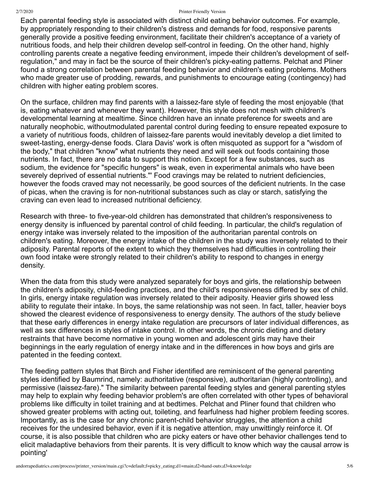#### 2/7/2020 Printer Friendly Version

Each parental feeding style is associated with distinct child eating behavior outcomes. For example, by appropriately responding to their children's distress and demands for food, responsive parents generally provide a positive feeding environment, facilitate their children's acceptance of a variety of nutritious foods, and help their children develop self-control in feeding. On the other hand, highly controlling parents create a negative feeding environment, impede their children's development of selfregulation," and may in fact be the source of their children's picky-eating patterns. Pelchat and Pliner found a strong correlation between parental feeding behavior and children's eating problems. Mothers who made greater use of prodding, rewards, and punishments to encourage eating (contingency) had children with higher eating problem scores.

On the surface, children may find parents with a laissez-fare style of feeding the most enjoyable (that is, eating whatever and whenever they want). However, this style does not mesh with children's developmental learning at mealtime. Since children have an innate preference for sweets and are naturally neophobic, withoutmodulated parental control during feeding to ensure repeated exposure to a variety of nutritious foods, children of laissez-fare parents would inevitably develop a diet limited to sweet-tasting, energy-dense foods. Clara Davis' work is often misquoted as support for a "wisdom of the body," that children "know" what nutrients they need and will seek out foods containing those nutrients. In fact, there are no data to support this notion. Except for a few substances, such as sodium, the evidence for "specific hungers" is weak, even in experimental animals who have been severely deprived of essential nutrients."' Food cravings may be related to nutrient deficiencies, however the foods craved may not necessarily, be good sources of the deficient nutrients. In the case of picas, when the craving is for non-nutritional substances such as clay or starch, satisfying the craving can even lead to increased nutritional deficiency.

Research with three- to five-year-old children has demonstrated that children's responsiveness to energy density is influenced by parental control of child feeding. In particular, the child's regulation of energy intake was inversely related to the imposition of the authoritarian parental controls on children's eating. Moreover, the energy intake of the children in the study was inversely related to their adiposity. Parental reports of the extent to which they themselves had difficulties in controlling their own food intake were strongly related to their children's ability to respond to changes in energy density.

When the data from this study were analyzed separately for boys and girls, the relationship between the children's adiposity, child-feeding practices, and the child's responsiveness differed by sex of child. In girls, energy intake regulation was inversely related to their adiposity. Heavier girls showed less ability to regulate their intake. In boys, the same relationship was not seen. In fact, taller, heavier boys showed the clearest evidence of responsiveness to energy density. The authors of the study believe that these early differences in energy intake regulation are precursors of later individual differences, as well as sex differences in styles of intake control. In other words, the chronic dieting and dietary restraints that have become normative in young women and adolescent girls may have their beginnings in the early regulation of energy intake and in the differences in how boys and girls are patented in the feeding context.

The feeding pattern styles that Birch and Fisher identified are reminiscent of the general parenting styles identified by Baumrind, namely: authoritative (responsive), authoritarian (highly controlling), and permissive (laissez-fare)." The similarity between parental feeding styles and general parenting styles may help to explain why feeding behavior problem's are often correlated with other types of behavioral problems like difficulty in toilet training and at bedtimes. Pelchat and Pliner found that children who showed greater problems with acting out, toileting, and fearfulness had higher problem feeding scores. Importantly, as is the case for any chronic parent-child behavior struggles, the attention a child receives for the undesired behavior, even if it is negative attention, may unwittingly reinforce it. Of course, it is also possible that children who are picky eaters or have other behavior challenges tend to elicit maladaptive behaviors from their parents. It is very difficult to know which way the causal arrow is pointing'